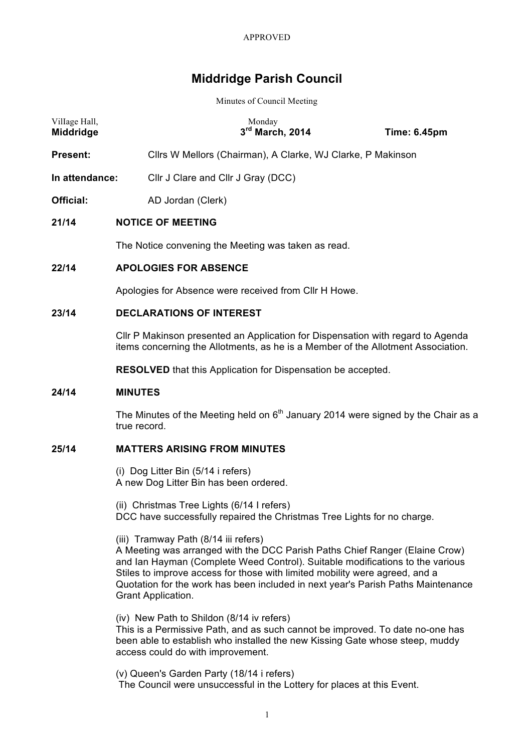# **Middridge Parish Council**

Minutes of Council Meeting

| Village Hall,<br>Middridge |                                                                                                                                                                     | Monday<br>3rd March, 2014                                                           | <b>Time: 6.45pm</b> |  |  |
|----------------------------|---------------------------------------------------------------------------------------------------------------------------------------------------------------------|-------------------------------------------------------------------------------------|---------------------|--|--|
| Present:                   |                                                                                                                                                                     | Cllrs W Mellors (Chairman), A Clarke, WJ Clarke, P Makinson                         |                     |  |  |
| In attendance:             |                                                                                                                                                                     | Cllr J Clare and Cllr J Gray (DCC)                                                  |                     |  |  |
| Official:                  | AD Jordan (Clerk)                                                                                                                                                   |                                                                                     |                     |  |  |
| 21/14                      | <b>NOTICE OF MEETING</b>                                                                                                                                            |                                                                                     |                     |  |  |
|                            |                                                                                                                                                                     | The Notice convening the Meeting was taken as read.                                 |                     |  |  |
| 22/14                      | <b>APOLOGIES FOR ABSENCE</b>                                                                                                                                        |                                                                                     |                     |  |  |
|                            |                                                                                                                                                                     | Apologies for Absence were received from Cllr H Howe.                               |                     |  |  |
| 23/14                      | <b>DECLARATIONS OF INTEREST</b>                                                                                                                                     |                                                                                     |                     |  |  |
|                            | CIIr P Makinson presented an Application for Dispensation with regard to Agenda<br>items concerning the Allotments, as he is a Member of the Allotment Association. |                                                                                     |                     |  |  |
|                            |                                                                                                                                                                     | <b>RESOLVED</b> that this Application for Dispensation be accepted.                 |                     |  |  |
| 24/14                      | <b>MINUTES</b>                                                                                                                                                      |                                                                                     |                     |  |  |
|                            | true record.                                                                                                                                                        | The Minutes of the Meeting held on $6th$ January 2014 were signed by the Chair as a |                     |  |  |
| 25/14                      |                                                                                                                                                                     | <b>MATTERS ARISING FROM MINUTES</b>                                                 |                     |  |  |
|                            | (i) Dog Litter Bin (5/14 i refers)<br>A new Dog Litter Bin has been ordered.                                                                                        |                                                                                     |                     |  |  |
|                            |                                                                                                                                                                     | (ii) Christmas Tree Lights (6/14 I refers)                                          |                     |  |  |

DCC have successfully repaired the Christmas Tree Lights for no charge.

(iii) Tramway Path (8/14 iii refers)

A Meeting was arranged with the DCC Parish Paths Chief Ranger (Elaine Crow) and Ian Hayman (Complete Weed Control). Suitable modifications to the various Stiles to improve access for those with limited mobility were agreed, and a Quotation for the work has been included in next year's Parish Paths Maintenance Grant Application.

(iv) New Path to Shildon (8/14 iv refers) This is a Permissive Path, and as such cannot be improved. To date no-one has been able to establish who installed the new Kissing Gate whose steep, muddy access could do with improvement.

(v) Queen's Garden Party (18/14 i refers) The Council were unsuccessful in the Lottery for places at this Event.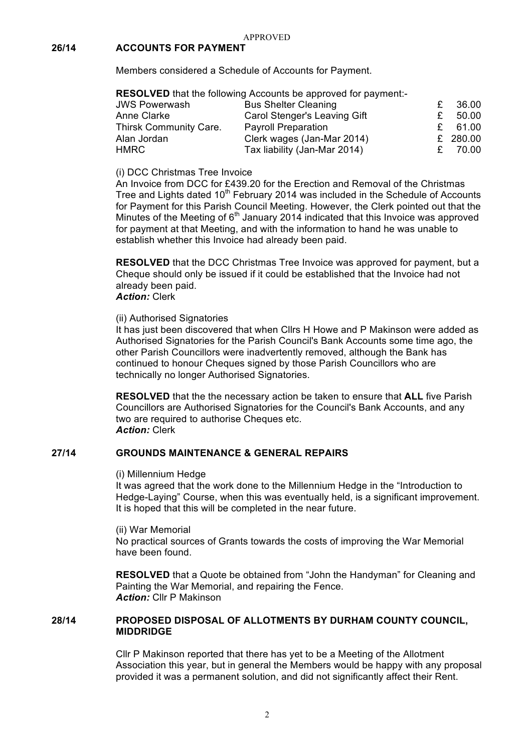# **26/14 ACCOUNTS FOR PAYMENT**

Members considered a Schedule of Accounts for Payment.

|                        | <b>RESOLVED</b> that the following Accounts be approved for payment:- |   |          |
|------------------------|-----------------------------------------------------------------------|---|----------|
| <b>JWS Powerwash</b>   | <b>Bus Shelter Cleaning</b>                                           | £ | 36.00    |
| Anne Clarke            | Carol Stenger's Leaving Gift                                          |   | 50.00    |
| Thirsk Community Care. | <b>Payroll Preparation</b>                                            |   | 61.00    |
| Alan Jordan            | Clerk wages (Jan-Mar 2014)                                            |   | £ 280.00 |
| HMRC                   | Tax liability (Jan-Mar 2014)                                          |   | 70.00    |

(i) DCC Christmas Tree Invoice

An Invoice from DCC for £439.20 for the Erection and Removal of the Christmas Tree and Lights dated 10<sup>th</sup> February 2014 was included in the Schedule of Accounts for Payment for this Parish Council Meeting. However, the Clerk pointed out that the Minutes of the Meeting of  $6<sup>th</sup>$  January 2014 indicated that this Invoice was approved for payment at that Meeting, and with the information to hand he was unable to establish whether this Invoice had already been paid.

**RESOLVED** that the DCC Christmas Tree Invoice was approved for payment, but a Cheque should only be issued if it could be established that the Invoice had not already been paid.

## *Action:* Clerk

## (ii) Authorised Signatories

It has just been discovered that when Cllrs H Howe and P Makinson were added as Authorised Signatories for the Parish Council's Bank Accounts some time ago, the other Parish Councillors were inadvertently removed, although the Bank has continued to honour Cheques signed by those Parish Councillors who are technically no longer Authorised Signatories.

**RESOLVED** that the the necessary action be taken to ensure that **ALL** five Parish Councillors are Authorised Signatories for the Council's Bank Accounts, and any two are required to authorise Cheques etc. *Action:* Clerk

## **27/14 GROUNDS MAINTENANCE & GENERAL REPAIRS**

## (i) Millennium Hedge

It was agreed that the work done to the Millennium Hedge in the "Introduction to Hedge-Laying" Course, when this was eventually held, is a significant improvement. It is hoped that this will be completed in the near future.

(ii) War Memorial

No practical sources of Grants towards the costs of improving the War Memorial have been found.

**RESOLVED** that a Quote be obtained from "John the Handyman" for Cleaning and Painting the War Memorial, and repairing the Fence. *Action:* Cllr P Makinson

# **28/14 PROPOSED DISPOSAL OF ALLOTMENTS BY DURHAM COUNTY COUNCIL, MIDDRIDGE**

Cllr P Makinson reported that there has yet to be a Meeting of the Allotment Association this year, but in general the Members would be happy with any proposal provided it was a permanent solution, and did not significantly affect their Rent.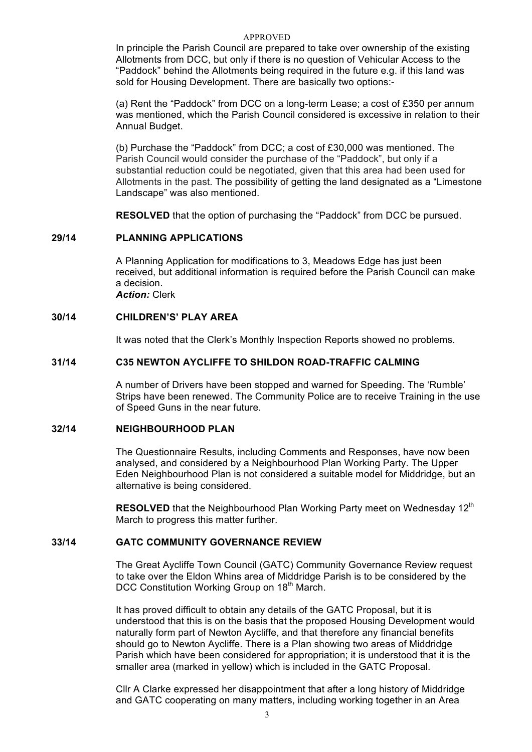#### APPROVED

In principle the Parish Council are prepared to take over ownership of the existing Allotments from DCC, but only if there is no question of Vehicular Access to the "Paddock" behind the Allotments being required in the future e.g. if this land was sold for Housing Development. There are basically two options:-

(a) Rent the "Paddock" from DCC on a long-term Lease; a cost of £350 per annum was mentioned, which the Parish Council considered is excessive in relation to their Annual Budget.

(b) Purchase the "Paddock" from DCC; a cost of £30,000 was mentioned. The Parish Council would consider the purchase of the "Paddock", but only if a substantial reduction could be negotiated, given that this area had been used for Allotments in the past. The possibility of getting the land designated as a "Limestone Landscape" was also mentioned.

**RESOLVED** that the option of purchasing the "Paddock" from DCC be pursued.

#### **29/14 PLANNING APPLICATIONS**

A Planning Application for modifications to 3, Meadows Edge has just been received, but additional information is required before the Parish Council can make a decision. *Action:* Clerk

## **30/14 CHILDREN'S' PLAY AREA**

It was noted that the Clerk's Monthly Inspection Reports showed no problems.

## **31/14 C35 NEWTON AYCLIFFE TO SHILDON ROAD-TRAFFIC CALMING**

A number of Drivers have been stopped and warned for Speeding. The 'Rumble' Strips have been renewed. The Community Police are to receive Training in the use of Speed Guns in the near future.

## **32/14 NEIGHBOURHOOD PLAN**

The Questionnaire Results, including Comments and Responses, have now been analysed, and considered by a Neighbourhood Plan Working Party. The Upper Eden Neighbourhood Plan is not considered a suitable model for Middridge, but an alternative is being considered.

**RESOLVED** that the Neighbourhood Plan Working Party meet on Wednesday 12<sup>th</sup> March to progress this matter further.

## **33/14 GATC COMMUNITY GOVERNANCE REVIEW**

The Great Aycliffe Town Council (GATC) Community Governance Review request to take over the Eldon Whins area of Middridge Parish is to be considered by the DCC Constitution Working Group on 18<sup>th</sup> March.

It has proved difficult to obtain any details of the GATC Proposal, but it is understood that this is on the basis that the proposed Housing Development would naturally form part of Newton Aycliffe, and that therefore any financial benefits should go to Newton Aycliffe. There is a Plan showing two areas of Middridge Parish which have been considered for appropriation; it is understood that it is the smaller area (marked in yellow) which is included in the GATC Proposal.

Cllr A Clarke expressed her disappointment that after a long history of Middridge and GATC cooperating on many matters, including working together in an Area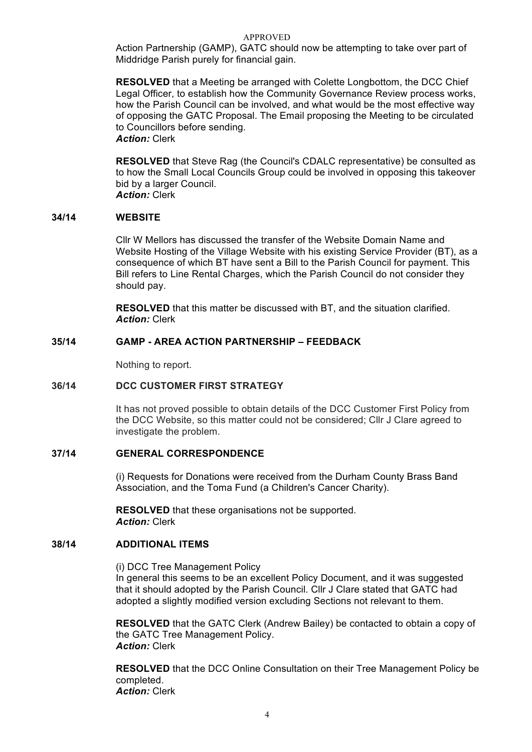#### APPROVED

Action Partnership (GAMP), GATC should now be attempting to take over part of Middridge Parish purely for financial gain.

**RESOLVED** that a Meeting be arranged with Colette Longbottom, the DCC Chief Legal Officer, to establish how the Community Governance Review process works, how the Parish Council can be involved, and what would be the most effective way of opposing the GATC Proposal. The Email proposing the Meeting to be circulated to Councillors before sending. *Action:* Clerk

**RESOLVED** that Steve Rag (the Council's CDALC representative) be consulted as to how the Small Local Councils Group could be involved in opposing this takeover bid by a larger Council. *Action:* Clerk

## **34/14 WEBSITE**

Cllr W Mellors has discussed the transfer of the Website Domain Name and Website Hosting of the Village Website with his existing Service Provider (BT), as a consequence of which BT have sent a Bill to the Parish Council for payment. This Bill refers to Line Rental Charges, which the Parish Council do not consider they should pay.

**RESOLVED** that this matter be discussed with BT, and the situation clarified. *Action:* Clerk

# **35/14 GAMP - AREA ACTION PARTNERSHIP – FEEDBACK**

Nothing to report.

## **36/14 DCC CUSTOMER FIRST STRATEGY**

It has not proved possible to obtain details of the DCC Customer First Policy from the DCC Website, so this matter could not be considered; Cllr J Clare agreed to investigate the problem.

#### **37/14 GENERAL CORRESPONDENCE**

(i) Requests for Donations were received from the Durham County Brass Band Association, and the Toma Fund (a Children's Cancer Charity).

**RESOLVED** that these organisations not be supported. *Action:* Clerk

#### **38/14 ADDITIONAL ITEMS**

(i) DCC Tree Management Policy In general this seems to be an excellent Policy Document, and it was suggested that it should adopted by the Parish Council. Cllr J Clare stated that GATC had adopted a slightly modified version excluding Sections not relevant to them.

**RESOLVED** that the GATC Clerk (Andrew Bailey) be contacted to obtain a copy of the GATC Tree Management Policy. *Action:* Clerk

**RESOLVED** that the DCC Online Consultation on their Tree Management Policy be completed. *Action:* Clerk